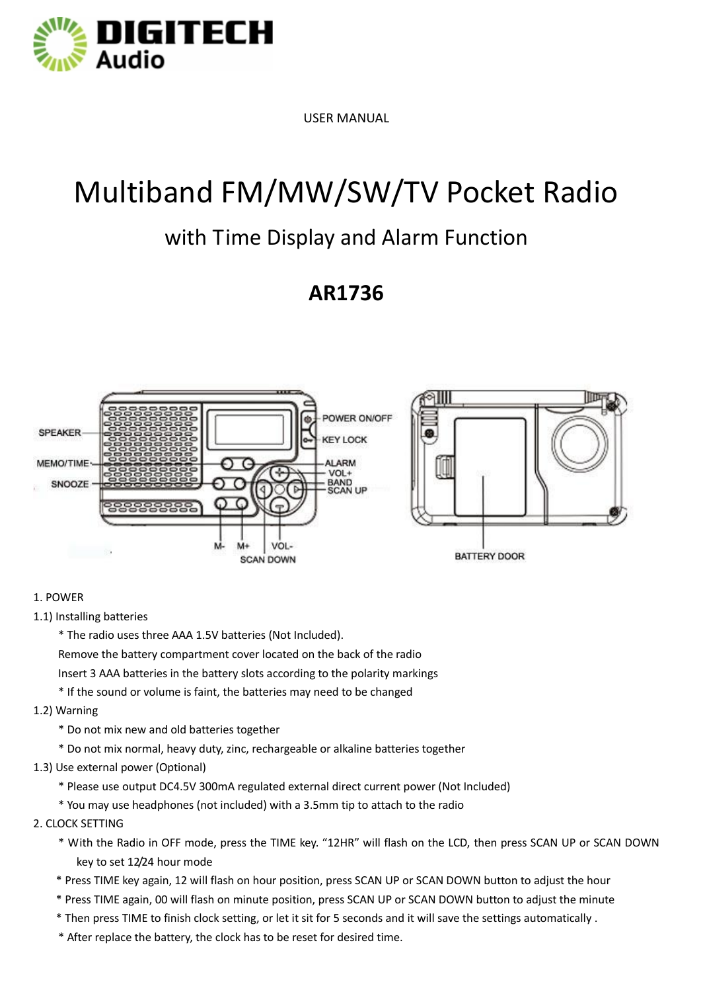

USER MANUAL

# Multiband FM/MW/SW/TV Pocket Radio

### with Time Display and Alarm Function

### **AR1736**



#### 1. POWER

1.1) Installing batteries

 \* The radio uses three AAA 1.5V batteries (Not Included). Remove the battery compartment cover located on the back of the radio Insert 3 AAA batteries in the battery slots according to the polarity markings

\* If the sound or volume is faint, the batteries may need to be changed

1.2) Warning

\* Do not mix new and old batteries together

\* Do not mix normal, heavy duty, zinc, rechargeable or alkaline batteries together

1.3) Use external power (Optional)

\* Please use output DC4.5V 300mA regulated external direct current power (Not Included)

\* You may use headphones (not included) with a 3.5mm tip to attach to the radio

#### 2. CLOCK SETTING

- \* With the Radio in OFF mode, press the TIME key. "12HR" will flash on the LCD, then press SCAN UP or SCAN DOWN key to set 12/24 hour mode
- \* Press TIME key again, 12 will flash on hour position, press SCAN UP or SCAN DOWN button to adjust the hour
- \* Press TIME again, 00 will flash on minute position, press SCAN UP or SCAN DOWN button to adjust the minute
- \* Then press TIME to finish clock setting, or let it sit for 5 seconds and it will save the settings automatically .
- \* After replace the battery, the clock has to be reset for desired time.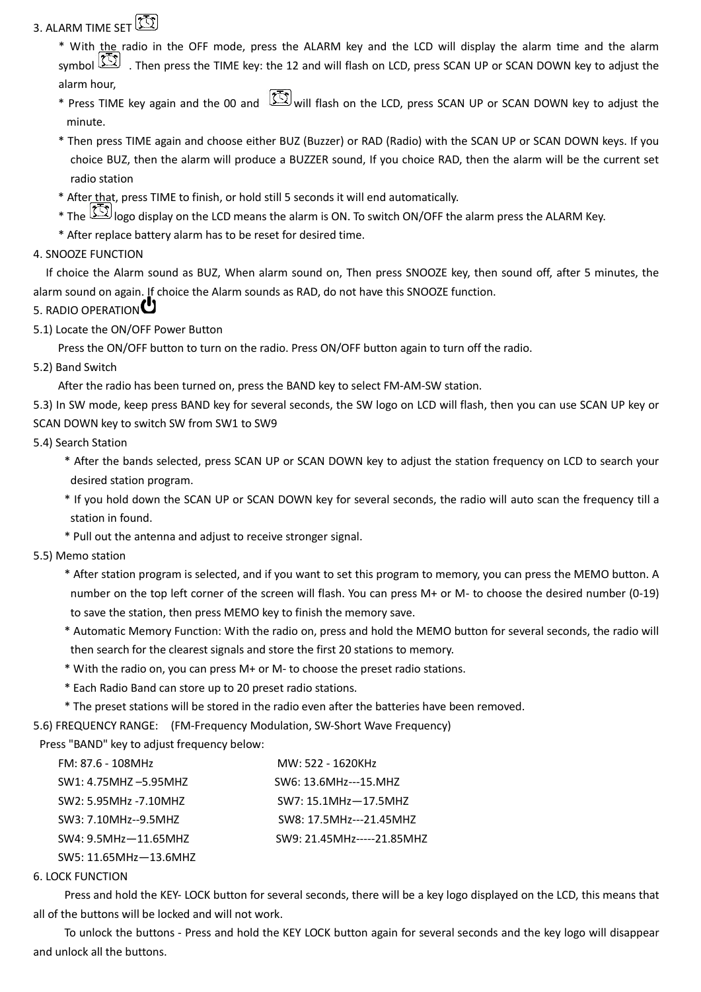### 3. ALARM TIME SET

\* With the radio in the OFF mode, press the ALARM key and the LCD will display the alarm time and the alarm symbol  $\Box$  . Then press the TIME key: the 12 and will flash on LCD, press SCAN UP or SCAN DOWN key to adjust the alarm hour,

- \* Press TIME key again and the 00 and  $\Box$  will flash on the LCD, press SCAN UP or SCAN DOWN key to adjust the minute.
- \* Then press TIME again and choose either BUZ (Buzzer) or RAD (Radio) with the SCAN UP or SCAN DOWN keys. If you choice BUZ, then the alarm will produce a BUZZER sound, If you choice RAD, then the alarm will be the current set radio station
- \* After that, press TIME to finish, or hold still 5 seconds it will end automatically.
- \* The  $\sim$  logo display on the LCD means the alarm is ON. To switch ON/OFF the alarm press the ALARM Key.
- \* After replace battery alarm has to be reset for desired time.

#### 4. SNOOZE FUNCTION

 If choice the Alarm sound as BUZ, When alarm sound on, Then press SNOOZE key, then sound off, after 5 minutes, the alarm sound on again. If choice the Alarm sounds as RAD, do not have this SNOOZE function.

### 5. RADIO OPERATION<sup>C</sup>

5.1) Locate the ON/OFF Power Button

Press the ON/OFF button to turn on the radio. Press ON/OFF button again to turn off the radio.

#### 5.2) Band Switch

After the radio has been turned on, press the BAND key to select FM-AM-SW station.

5.3) In SW mode, keep press BAND key for several seconds, the SW logo on LCD will flash, then you can use SCAN UP key or SCAN DOWN key to switch SW from SW1 to SW9

#### 5.4) Search Station

- \* After the bands selected, press SCAN UP or SCAN DOWN key to adjust the station frequency on LCD to search your desired station program.
- \* If you hold down the SCAN UP or SCAN DOWN key for several seconds, the radio will auto scan the frequency till a station in found.
- \* Pull out the antenna and adjust to receive stronger signal.

#### 5.5) Memo station

- \* After station program is selected, and if you want to set this program to memory, you can press the MEMO button. A number on the top left corner of the screen will flash. You can press M+ or M- to choose the desired number (0-19) to save the station, then press MEMO key to finish the memory save.
- \* Automatic Memory Function: With the radio on, press and hold the MEMO button for several seconds, the radio will then search for the clearest signals and store the first 20 stations to memory.
- \* With the radio on, you can press M+ or M- to choose the preset radio stations.
- \* Each Radio Band can store up to 20 preset radio stations.
- \* The preset stations will be stored in the radio even after the batteries have been removed.

5.6) FREQUENCY RANGE: (FM-Frequency Modulation, SW-Short Wave Frequency)

Press "BAND" key to adjust frequency below:

| FM: 87.6 - 108MHz        | MW: 522 - 1620KHz          |
|--------------------------|----------------------------|
| SW1: 4.75MHZ-5.95MHZ     | SW6: 13.6MHz---15.MHZ      |
| SW2: 5.95MHz -7.10MHZ    | SW7: 15.1MHz-17.5MHZ       |
| SW3: 7.10MHz--9.5MHZ     | SW8: 17.5MHz---21.45MHZ    |
| $SW4: 9.5MHz - 11.65MHz$ | SW9: 21.45MHz-----21.85MHZ |
| SW5: 11.65MHz-13.6MHZ    |                            |

#### 6. LOCK FUNCTION

 Press and hold the KEY- LOCK button for several seconds, there will be a key logo displayed on the LCD, this means that all of the buttons will be locked and will not work.

 To unlock the buttons - Press and hold the KEY LOCK button again for several seconds and the key logo will disappear and unlock all the buttons.